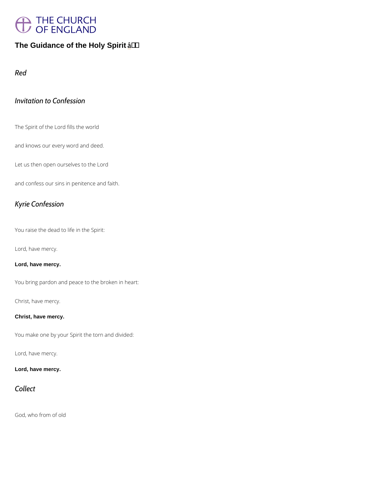# THE CHURCH<br>OF ENGLAND

The Guidance of the Holy Spirit  $a + b$ 

Red

### Invitation to Confession

The Spirit of the Lord fills the world

and knows our every word and deed.

Let us then open ourselves to the Lord

and confess our sins in penitence and faith.

### Kyrie Confession

You raise the dead to life in the Spirit:

Lord, have mercy.

Lord, have mercy.

You bring pardon and peace to the broken in heart:

Christ, have mercy.

Christ, have mercy.

You make one by your Spirit the torn and divided:

Lord, have mercy.

Lord, have mercy.

### Collect

God, who from of old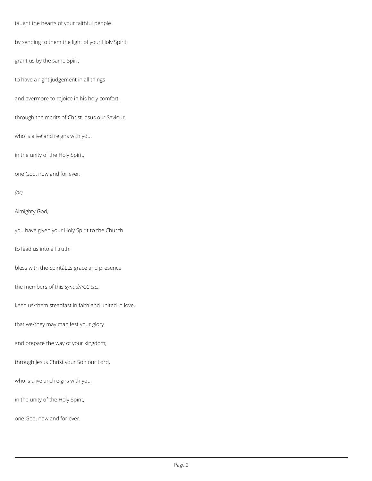taught the hearts of your faithful people

by sending to them the light of your Holy Spirit:

grant us by the same Spirit

to have a right judgement in all things

and evermore to rejoice in his holy comfort;

through the merits of Christ Jesus our Saviour,

who is alive and reigns with you,

in the unity of the Holy Spirit,

one God, now and for ever.

*(or)*

Almighty God,

you have given your Holy Spirit to the Church

to lead us into all truth:

bless with the Spiritâlls grace and presence

the members of this *synod/PCC etc*.;

keep us/them steadfast in faith and united in love,

that we/they may manifest your glory

and prepare the way of your kingdom;

through Jesus Christ your Son our Lord,

who is alive and reigns with you,

in the unity of the Holy Spirit,

one God, now and for ever.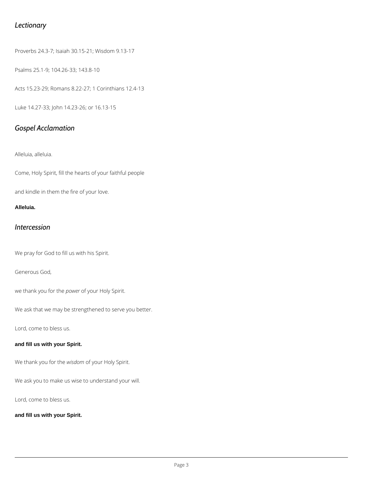### *Lectionary*

Proverbs 24.3-7; Isaiah 30.15-21; Wisdom 9.13-17

Psalms 25.1-9; 104.26-33; 143.8-10

Acts 15.23-29; Romans 8.22-27; 1 Corinthians 12.4-13

Luke 14.27-33; John 14.23-26; or 16.13-15

### *Gospel Acclamation*

Alleluia, alleluia.

Come, Holy Spirit, fill the hearts of your faithful people

and kindle in them the fire of your love.

#### **Alleluia.**

### *Intercession*

We pray for God to fill us with his Spirit.

Generous God,

we thank you for the *power* of your Holy Spirit.

We ask that we may be strengthened to serve you better.

Lord, come to bless us.

#### **and fill us with your Spirit.**

We thank you for the *wisdom* of your Holy Spirit.

We ask you to make us wise to understand your will.

Lord, come to bless us.

**and fill us with your Spirit.**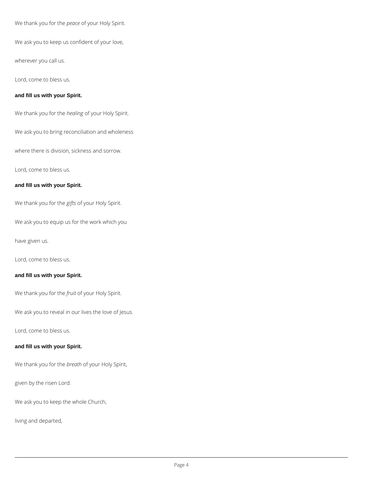We thank you for the *peace* of your Holy Spirit.

We ask you to keep us confident of your love,

wherever you call us.

Lord, come to bless us.

#### **and fill us with your Spirit.**

We thank you for the *healing* of your Holy Spirit.

We ask you to bring reconciliation and wholeness

where there is division, sickness and sorrow.

Lord, come to bless us.

#### **and fill us with your Spirit.**

We thank you for the *gifts* of your Holy Spirit.

We ask you to equip us for the work which you

have given us.

Lord, come to bless us.

#### **and fill us with your Spirit.**

We thank you for the *fruit* of your Holy Spirit.

We ask you to reveal in our lives the love of Jesus.

Lord, come to bless us.

#### **and fill us with your Spirit.**

We thank you for the *breath* of your Holy Spirit,

given by the risen Lord.

We ask you to keep the whole Church,

living and departed,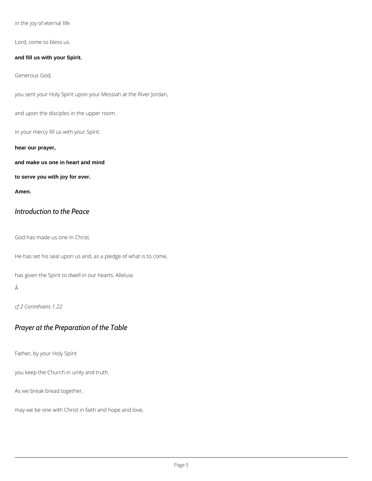in the joy of eternal life.

Lord, come to bless us.

**and fill us with your Spirit.**

Generous God,

you sent your Holy Spirit upon your Messiah at the River Jordan,

and upon the disciples in the upper room.

In your mercy fill us with your Spirit.

**hear our prayer,**

**and make us one in heart and mind**

**to serve you with joy for ever.**

**Amen.**

### *Introduction to the Peace*

God has made us one in Christ.

He has set his seal upon us and, as a pledge of what is to come,

has given the Spirit to dwell in our hearts. Alleluia.

Â

*cf 2 Corinthians 1.22*

### *Prayer at the Preparation of the Table*

Father, by your Holy Spirit

you keep the Church in unity and truth.

As we break bread together,

may we be one with Christ in faith and hope and love,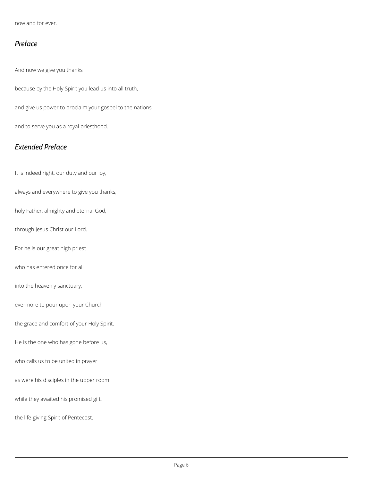now and for ever.

### *Preface*

And now we give you thanks

because by the Holy Spirit you lead us into all truth,

and give us power to proclaim your gospel to the nations,

and to serve you as a royal priesthood.

### *Extended Preface*

It is indeed right, our duty and our joy,

always and everywhere to give you thanks,

holy Father, almighty and eternal God,

through Jesus Christ our Lord.

For he is our great high priest

who has entered once for all

into the heavenly sanctuary,

evermore to pour upon your Church

the grace and comfort of your Holy Spirit.

He is the one who has gone before us,

who calls us to be united in prayer

as were his disciples in the upper room

while they awaited his promised gift,

the life-giving Spirit of Pentecost.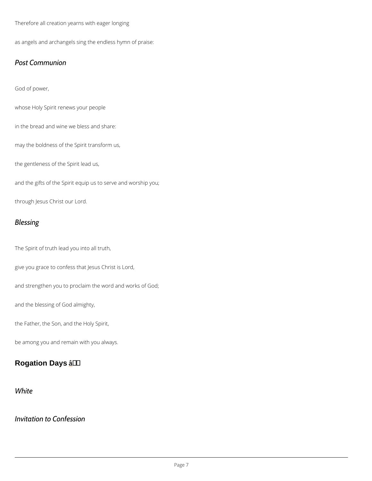#### Therefore all creation yearns with eager longing

as angels and archangels sing the endless hymn of praise:

#### Post Communion

God of power,

whose Holy Spirit renews your people

in the bread and wine we bless and share:

may the boldness of the Spirit transform us,

the gentleness of the Spirit lead us,

and the gifts of the Spirit equip us to serve and worship you;

through Jesus Christ our Lord.

### Blessing

The Spirit of truth lead you into all truth,

give you grace to confess that Jesus Christ is Lord,

and strengthen you to proclaim the word and works of God;

and the blessing of God almighty,

the Father, the Son, and the Holy Spirit,

be among you and remain with you always.

Rogation Days \_ â † '

### White

### Invitation to Confession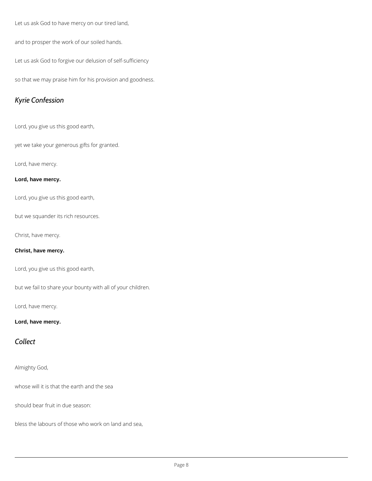Let us ask God to have mercy on our tired land,

and to prosper the work of our soiled hands.

Let us ask God to forgive our delusion of self-sufficiency

so that we may praise him for his provision and goodness.

### *Kyrie Confession*

Lord, you give us this good earth,

yet we take your generous gifts for granted.

Lord, have mercy.

#### **Lord, have mercy.**

Lord, you give us this good earth,

but we squander its rich resources.

Christ, have mercy.

#### **Christ, have mercy.**

Lord, you give us this good earth,

but we fail to share your bounty with all of your children.

Lord, have mercy.

#### **Lord, have mercy.**

### *Collect*

Almighty God,

whose will it is that the earth and the sea

should bear fruit in due season:

bless the labours of those who work on land and sea,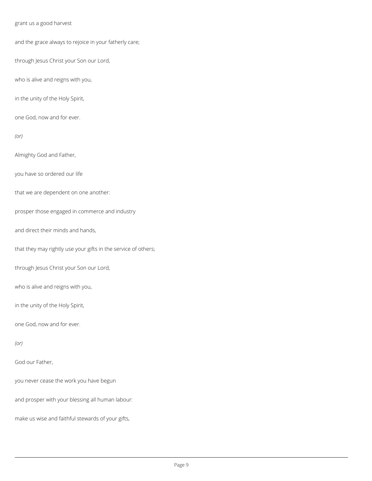#### grant us a good harvest

and the grace always to rejoice in your fatherly care;

through Jesus Christ your Son our Lord,

who is alive and reigns with you,

in the unity of the Holy Spirit,

one God, now and for ever.

*(or)*

Almighty God and Father,

you have so ordered our life

that we are dependent on one another:

prosper those engaged in commerce and industry

and direct their minds and hands,

that they may rightly use your gifts in the service of others;

through Jesus Christ your Son our Lord,

who is alive and reigns with you,

in the unity of the Holy Spirit,

one God, now and for ever.

#### God our Father,

you never cease the work you have begun

and prosper with your blessing all human labour:

make us wise and faithful stewards of your gifts,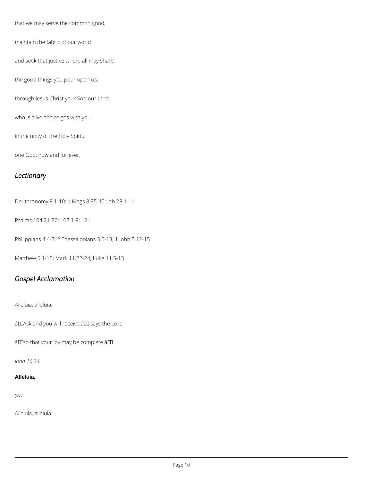that we may serve the common good,

maintain the fabric of our world

and seek that justice where all may share

the good things you pour upon us;

through Jesus Christ your Son our Lord,

who is alive and reigns with you,

in the unity of the Holy Spirit,

one God, now and for ever.

### *Lectionary*

Deuteronomy 8.1-10; 1 Kings 8.35-40; Job 28.1-11

Psalms 104.21-30; 107.1-9; 121

Philippians 4.4-7; 2 Thessalonians 3.6-13; 1 John 5.12-15

Matthew 6.1-15; Mark 11.22-24; Luke 11.5-13

### *Gospel Acclamation*

Alleluia, alleluia.

âDDAsk and you will receive, âDD says the Lord,

âDDso that your joy may be complete.âDD

*John 16.24*

#### **Alleluia.**

*(or)*

Alleluia, alleluia.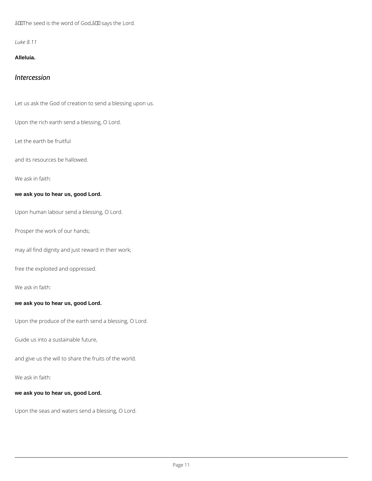âDOThe seed is the word of God, âDD says the Lord.

*Luke 8.11*

**Alleluia.**

### *Intercession*

Let us ask the God of creation to send a blessing upon us.

Upon the rich earth send a blessing, O Lord.

Let the earth be fruitful

and its resources be hallowed.

We ask in faith:

#### **we ask you to hear us, good Lord.**

Upon human labour send a blessing, O Lord.

Prosper the work of our hands;

may all find dignity and just reward in their work;

free the exploited and oppressed.

We ask in faith:

**we ask you to hear us, good Lord.**

Upon the produce of the earth send a blessing, O Lord.

Guide us into a sustainable future,

and give us the will to share the fruits of the world.

We ask in faith:

**we ask you to hear us, good Lord.**

Upon the seas and waters send a blessing, O Lord.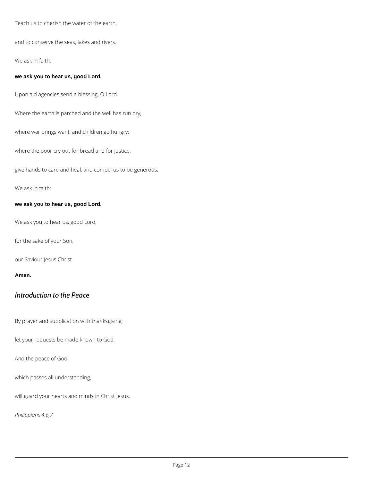Teach us to cherish the water of the earth,

and to conserve the seas, lakes and rivers.

We ask in faith:

#### **we ask you to hear us, good Lord.**

Upon aid agencies send a blessing, O Lord.

Where the earth is parched and the well has run dry;

where war brings want, and children go hungry;

where the poor cry out for bread and for justice,

give hands to care and heal, and compel us to be generous.

We ask in faith:

#### **we ask you to hear us, good Lord.**

We ask you to hear us, good Lord,

for the sake of your Son,

our Saviour Jesus Christ.

#### **Amen.**

### *Introduction to the Peace*

By prayer and supplication with thanksgiving,

let your requests be made known to God.

And the peace of God,

which passes all understanding,

will guard your hearts and minds in Christ Jesus.

*Philippians 4.6,7*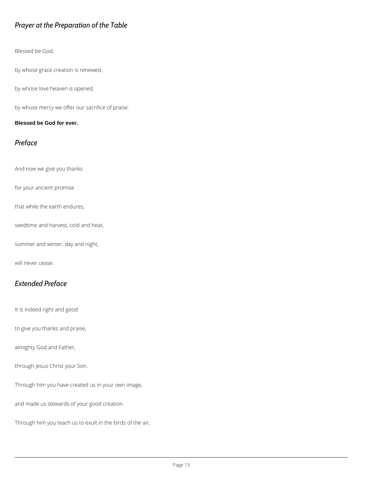### *Prayer at the Preparation of the Table*

Blessed be God,

by whose grace creation is renewed,

by whose love heaven is opened,

by whose mercy we offer our sacrifice of praise.

#### **Blessed be God for ever.**

### *Preface*

And now we give you thanks

for your ancient promise

that while the earth endures,

seedtime and harvest, cold and heat,

summer and winter, day and night,

will never cease.

### *Extended Preface*

It is indeed right and good

to give you thanks and praise,

almighty God and Father,

#### through Jesus Christ your Son.

Through him you have created us in your own image,

and made us stewards of your good creation.

Through him you teach us to exult in the birds of the air,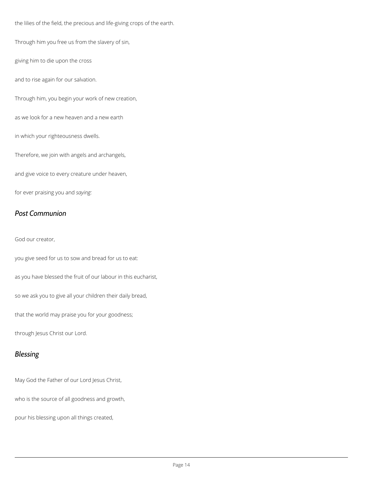the lilies of the field, the precious and life-giving crops of the earth.

Through him you free us from the slavery of sin,

giving him to die upon the cross

and to rise again for our salvation.

Through him, you begin your work of new creation,

as we look for a new heaven and a new earth

in which your righteousness dwells.

Therefore, we join with angels and archangels,

and give voice to every creature under heaven,

for ever praising you and *saying:*

### *Post Communion*

God our creator,

you give seed for us to sow and bread for us to eat:

as you have blessed the fruit of our labour in this eucharist,

so we ask you to give all your children their daily bread,

that the world may praise you for your goodness;

through Jesus Christ our Lord.

#### *Blessing*

May God the Father of our Lord Jesus Christ,

who is the source of all goodness and growth,

pour his blessing upon all things created,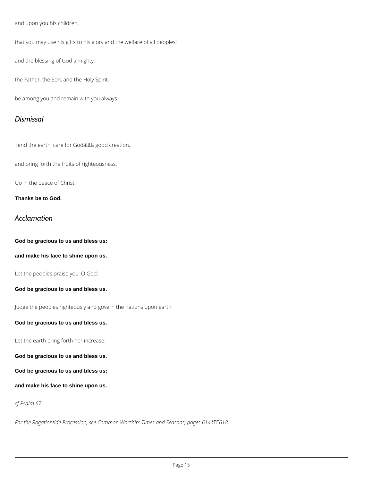and upon you his children,

that you may use his gifts to his glory and the welfare of all peoples;

and the blessing of God almighty,

the Father, the Son, and the Holy Spirit,

be among you and remain with you always.

#### *Dismissal*

Tend the earth, care for Godâlls good creation,

and bring forth the fruits of righteousness.

Go in the peace of Christ.

**Thanks be to God.**

### *Acclamation*

**God be gracious to us and bless us:**

**and make his face to shine upon us.**

Let the peoples praise you, O God:

#### **God be gracious to us and bless us.**

Judge the peoples righteously and govern the nations upon earth.

#### **God be gracious to us and bless us.**

Let the earth bring forth her increase:

**God be gracious to us and bless us.**

**God be gracious to us and bless us:**

**and make his face to shine upon us.**

*cf Psalm 67*

For the Rogationtide Procession, see Common Worship: Times and Seasons, pages 614â00618.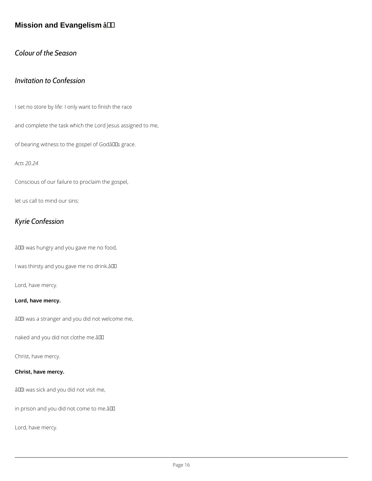Mission and Evangelism  $a + f$ 

Colour of the Season

Invitation to Confession

I set no store by life: I only want to finish the race

and complete the task which the Lord Jesus assigned to me,

of bearing witness to the gospel of  $G$ odâ $\in$ <sup>TM</sup>s grace.

Acts 20.24

Conscious of our failure to proclaim the gospel,

let us call to mind our sins:

Kyrie Confession

â€~I was hungry and you gave me no food,

I was thirsty and you gave me no drink.  $\hat{a} \in \mathbb{M}$ 

Lord, have mercy.

Lord, have mercy.

 $a \in \tilde{a}$  was a stranger and you did not welcome me,

naked and you did not clothe me.  $\hat{a} \in T^M$ 

Christ, have mercy.

Christ, have mercy.

 $\hat{a} \in \tilde{a}$  was sick and you did not visit me,

in prison and you did not come to me.  $\hat{a} \in T^M$ 

Lord, have mercy.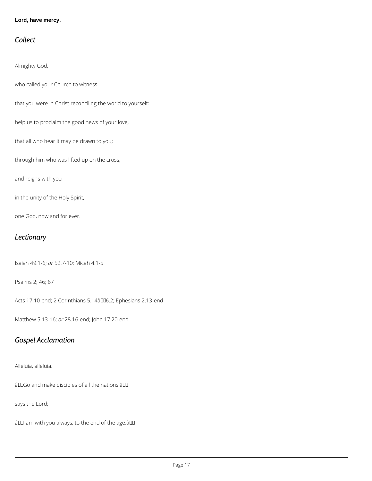#### **Lord, have mercy.**

### *Collect*

Almighty God,

who called your Church to witness

that you were in Christ reconciling the world to yourself:

help us to proclaim the good news of your love,

that all who hear it may be drawn to you;

through him who was lifted up on the cross,

and reigns with you

in the unity of the Holy Spirit,

one God, now and for ever.

### *Lectionary*

Isaiah 49.1-6; *or* 52.7-10; Micah 4.1-5

Psalms 2; 46; 67

Acts 17.10-end; 2 Corinthians 5.14â006.2; Ephesians 2.13-end

Matthew 5.13-16; *or* 28.16-end; John 17.20-end

### *Gospel Acclamation*

#### Alleluia, alleluia.

âDDGo and make disciples of all the nations, âDD

says the Lord;

âDOI am with you always, to the end of the age.âDO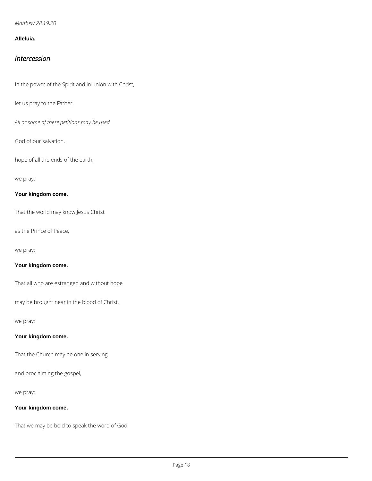*Matthew 28.19,20*

#### **Alleluia.**

#### *Intercession*

In the power of the Spirit and in union with Christ,

let us pray to the Father.

*All or some of these petitions may be used*

God of our salvation,

hope of all the ends of the earth,

we pray:

**Your kingdom come.**

That the world may know Jesus Christ

as the Prince of Peace,

we pray:

**Your kingdom come.**

That all who are estranged and without hope

may be brought near in the blood of Christ,

we pray:

#### **Your kingdom come.**

That the Church may be one in serving

and proclaiming the gospel,

we pray:

#### **Your kingdom come.**

That we may be bold to speak the word of God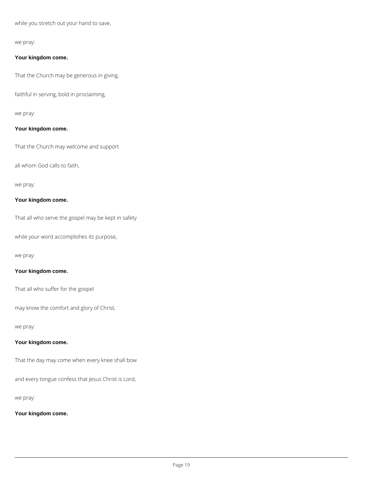while you stretch out your hand to save,

we pray:

#### **Your kingdom come.**

That the Church may be generous in giving,

faithful in serving, bold in proclaiming,

we pray:

#### **Your kingdom come.**

That the Church may welcome and support

all whom God calls to faith,

we pray:

#### **Your kingdom come.**

That all who serve the gospel may be kept in safety

while your word accomplishes its purpose,

we pray:

#### **Your kingdom come.**

That all who suffer for the gospel

may know the comfort and glory of Christ,

#### we pray:

#### **Your kingdom come.**

That the day may come when every knee shall bow

and every tongue confess that Jesus Christ is Lord,

we pray:

**Your kingdom come.**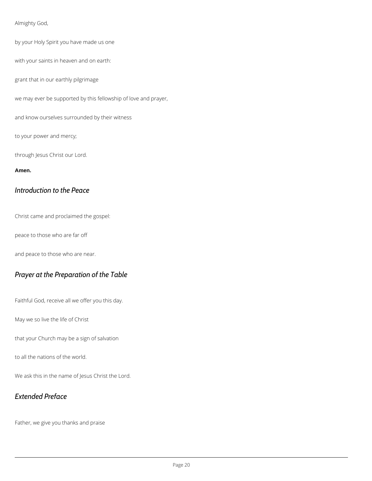#### Almighty God,

by your Holy Spirit you have made us one

with your saints in heaven and on earth:

grant that in our earthly pilgrimage

we may ever be supported by this fellowship of love and prayer,

and know ourselves surrounded by their witness

to your power and mercy;

through Jesus Christ our Lord.

#### **Amen.**

### *Introduction to the Peace*

Christ came and proclaimed the gospel:

peace to those who are far off

and peace to those who are near.

### *Prayer at the Preparation of the Table*

Faithful God, receive all we offer you this day.

May we so live the life of Christ

that your Church may be a sign of salvation

to all the nations of the world.

We ask this in the name of Jesus Christ the Lord.

*Extended Preface*

Father, we give you thanks and praise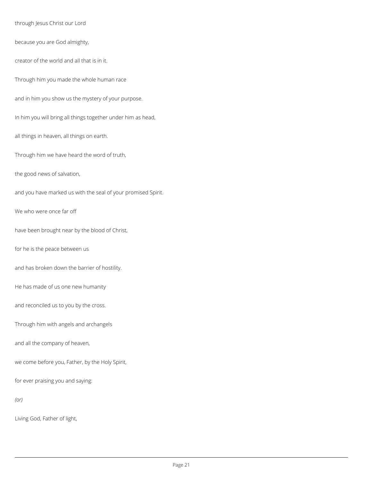through Jesus Christ our Lord

because you are God almighty,

creator of the world and all that is in it.

Through him you made the whole human race

and in him you show us the mystery of your purpose.

In him you will bring all things together under him as head,

all things in heaven, all things on earth.

Through him we have heard the word of truth,

the good news of salvation,

and you have marked us with the seal of your promised Spirit.

We who were once far off

have been brought near by the blood of Christ,

for he is the peace between us

and has broken down the barrier of hostility.

He has made of us one new humanity

and reconciled us to you by the cross.

Through him with angels and archangels

and all the company of heaven,

we come before you, Father, by the Holy Spirit,

for ever praising you and saying:

*(or)*

Living God, Father of light,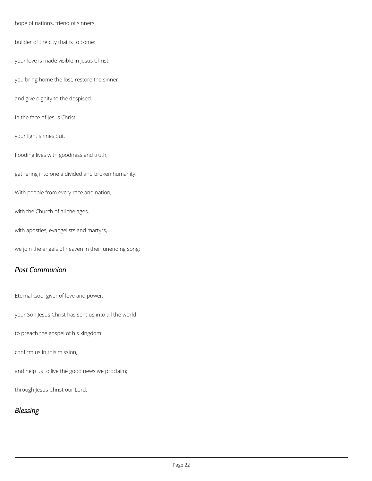hope of nations, friend of sinners,

builder of the city that is to come:

your love is made visible in Jesus Christ,

you bring home the lost, restore the sinner

and give dignity to the despised.

In the face of Jesus Christ

your light shines out,

flooding lives with goodness and truth,

gathering into one a divided and broken humanity.

With people from every race and nation,

with the Church of all the ages,

with apostles, evangelists and martyrs,

we join the angels of heaven in their unending song:

### *Post Communion*

Eternal God, giver of love and power,

your Son Jesus Christ has sent us into all the world

to preach the gospel of his kingdom:

confirm us in this mission,

and help us to live the good news we proclaim;

through Jesus Christ our Lord.

### *Blessing*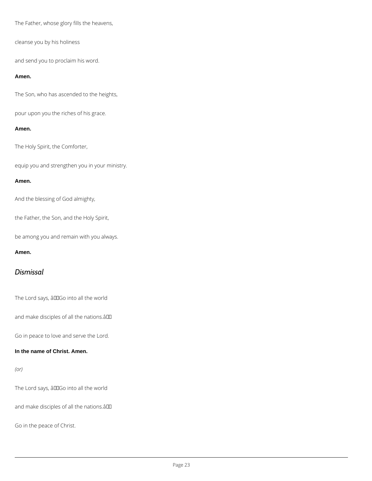The Father, whose glory fills the heavens,

cleanse you by his holiness

and send you to proclaim his word.

#### **Amen.**

The Son, who has ascended to the heights,

pour upon you the riches of his grace.

#### **Amen.**

The Holy Spirit, the Comforter,

equip you and strengthen you in your ministry.

#### **Amen.**

And the blessing of God almighty,

the Father, the Son, and the Holy Spirit,

be among you and remain with you always.

#### **Amen.**

### *Dismissal*

The Lord says, âDDGo into all the world

and make disciples of all the nations.âDD

Go in peace to love and serve the Lord.

#### **In the name of Christ. Amen.**

The Lord says, âDDGo into all the world

and make disciples of all the nations.â

Go in the peace of Christ.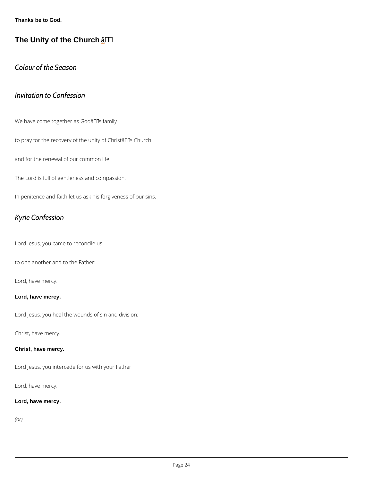Thanks be to God.

The Unity of the Church  $a + f$ 

Colour of the Season

### Invitation to Confession

We have come together as Godâ $\in$ <sup>TM</sup>s family

to pray for the recovery of the unity of Christ's Church

and for the renewal of our common life.

The Lord is full of gentleness and compassion.

In penitence and faith let us ask his forgiveness of our sins.

### Kyrie Confession

Lord Jesus, you came to reconcile us

to one another and to the Father:

Lord, have mercy.

Lord, have mercy.

Lord Jesus, you heal the wounds of sin and division:

Christ, have mercy.

Christ, have mercy.

Lord Jesus, you intercede for us with your Father:

Lord, have mercy.

Lord, have mercy.

(or)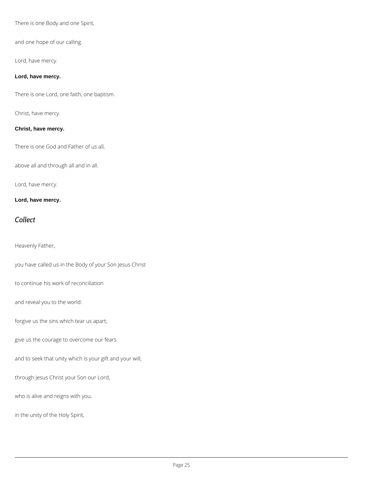There is one Body and one Spirit,

and one hope of our calling.

Lord, have mercy.

#### **Lord, have mercy.**

There is one Lord, one faith, one baptism.

Christ, have mercy.

#### **Christ, have mercy.**

There is one God and Father of us all,

above all and through all and in all.

Lord, have mercy.

**Lord, have mercy.**

### *Collect*

Heavenly Father,

you have called us in the Body of your Son Jesus Christ

to continue his work of reconciliation

and reveal you to the world:

forgive us the sins which tear us apart;

give us the courage to overcome our fears

and to seek that unity which is your gift and your will;

through Jesus Christ your Son our Lord,

who is alive and reigns with you,

in the unity of the Holy Spirit,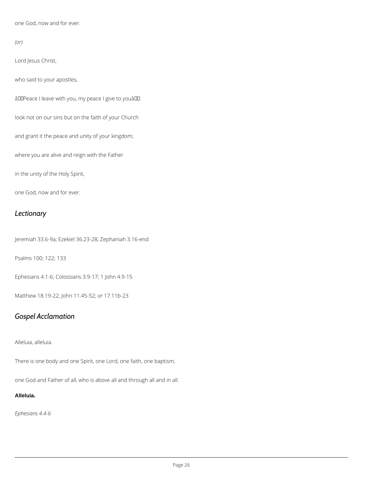one God, now and for ever.

*(or)*

Lord Jesus Christ,

who said to your apostles,

âDDPeace I leave with you, my peace I give to youâDD:

look not on our sins but on the faith of your Church

and grant it the peace and unity of your kingdom;

where you are alive and reign with the Father

in the unity of the Holy Spirit,

one God, now and for ever.

### *Lectionary*

Jeremiah 33.6-9a; Ezekiel 36.23-28; Zephaniah 3.16-end

Psalms 100; 122; 133

Ephesians 4.1-6; Colossians 3.9-17; 1 John 4.9-15

Matthew 18.19-22; John 11.45-52; *or* 17.11b-23

### *Gospel Acclamation*

Alleluia, alleluia.

There is one body and one Spirit, one Lord, one faith, one baptism,

one God and Father of all, who is above all and through all and in all.

#### **Alleluia.**

*Ephesians 4.4-6*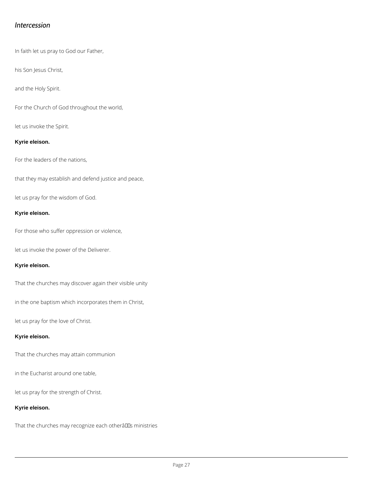### *Intercession*

In faith let us pray to God our Father,

his Son Jesus Christ,

and the Holy Spirit.

For the Church of God throughout the world,

let us invoke the Spirit.

#### **Kyrie eleison.**

For the leaders of the nations,

that they may establish and defend justice and peace,

let us pray for the wisdom of God.

#### **Kyrie eleison.**

For those who suffer oppression or violence,

let us invoke the power of the Deliverer.

#### **Kyrie eleison.**

That the churches may discover again their visible unity

in the one baptism which incorporates them in Christ,

let us pray for the love of Christ.

#### **Kyrie eleison.**

That the churches may attain communion

in the Eucharist around one table,

let us pray for the strength of Christ.

**Kyrie eleison.**

That the churches may recognize each otherâlls ministries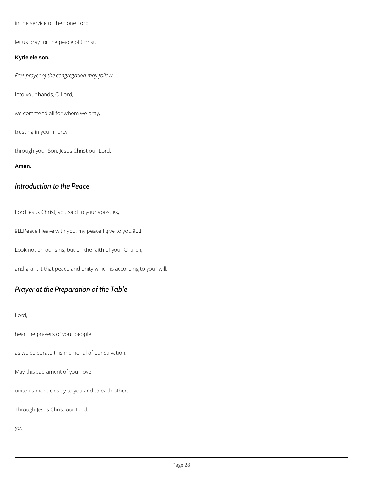in the service of their one Lord,

let us pray for the peace of Christ.

#### **Kyrie eleison.**

*Free prayer of the congregation may follow.*

Into your hands, O Lord,

we commend all for whom we pray,

trusting in your mercy;

through your Son, Jesus Christ our Lord.

#### **Amen.**

### *Introduction to the Peace*

Lord Jesus Christ, you said to your apostles,

âDDPeace I leave with you, my peace I give to you.âDD

Look not on our sins, but on the faith of your Church,

and grant it that peace and unity which is according to your will.

### *Prayer at the Preparation of the Table*

#### Lord,

hear the prayers of your people

as we celebrate this memorial of our salvation.

May this sacrament of your love

unite us more closely to you and to each other.

Through Jesus Christ our Lord.

*(or)*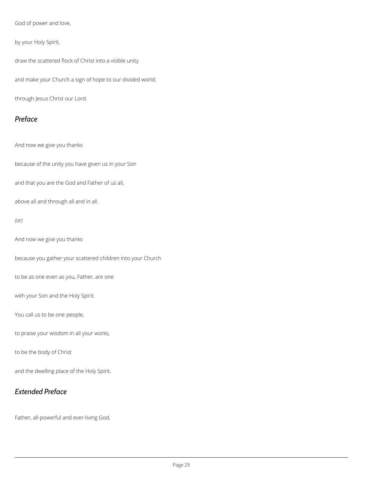God of power and love,

by your Holy Spirit,

draw the scattered flock of Christ into a visible unity

and make your Church a sign of hope to our divided world;

through Jesus Christ our Lord.

### *Preface*

And now we give you thanks

because of the unity you have given us in your Son

and that you are the God and Father of us all,

above all and through all and in all.

*(or)*

And now we give you thanks

because you gather your scattered children into your Church

to be as one even as you, Father, are one

with your Son and the Holy Spirit.

You call us to be one people,

to praise your wisdom in all your works,

to be the body of Christ

and the dwelling place of the Holy Spirit.

### *Extended Preface*

Father, all-powerful and ever-living God,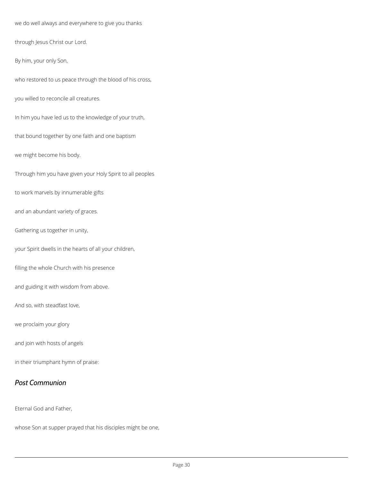we do well always and everywhere to give you thanks

through Jesus Christ our Lord.

By him, your only Son,

who restored to us peace through the blood of his cross,

you willed to reconcile all creatures.

In him you have led us to the knowledge of your truth,

that bound together by one faith and one baptism

we might become his body.

Through him you have given your Holy Spirit to all peoples

to work marvels by innumerable gifts

and an abundant variety of graces.

Gathering us together in unity,

your Spirit dwells in the hearts of all your children,

filling the whole Church with his presence

and guiding it with wisdom from above.

And so, with steadfast love,

we proclaim your glory

and join with hosts of angels

in their triumphant hymn of praise:

### *Post Communion*

Eternal God and Father,

whose Son at supper prayed that his disciples might be one,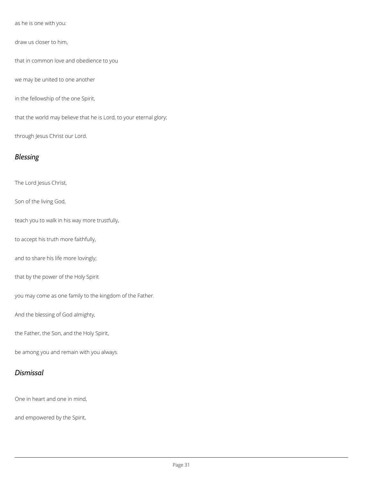as he is one with you:

draw us closer to him,

that in common love and obedience to you

we may be united to one another

in the fellowship of the one Spirit,

that the world may believe that he is Lord, to your eternal glory;

through Jesus Christ our Lord.

### *Blessing*

The Lord Jesus Christ,

Son of the living God,

teach you to walk in his way more trustfully,

to accept his truth more faithfully,

and to share his life more lovingly;

that by the power of the Holy Spirit

you may come as one family to the kingdom of the Father.

And the blessing of God almighty,

the Father, the Son, and the Holy Spirit,

be among you and remain with you always.



One in heart and one in mind,

and empowered by the Spirit,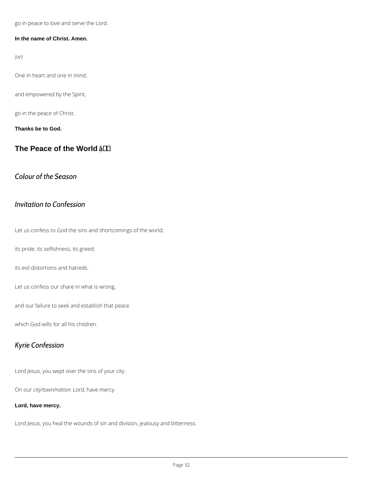go in peace to love and serve the Lord.

In the name of Christ. Amen.

(or)

One in heart and one in mind,

and empowered by the Spirit,

go in the peace of Christ.

Thanks be to God.

The Peace of the World  $\hat{a}$  † '

Colour of the Season

Invitation to Confession

Let us confess to God the sins and shortcomings of the world;

its pride, its selfishness, its greed;

its evil distortions and hatreds.

Let us confess our share in what is wrong,

and our failure to seek and establish that peace

which God wills for all his children.

Kyrie Confession

Lord Jesus, you wept over the sins of your city.

On outriv/town/nation on, have mercy.

Lord, have mercy.

Lord Jesus, you heal the wounds of sin and division, jealousy and bitterness.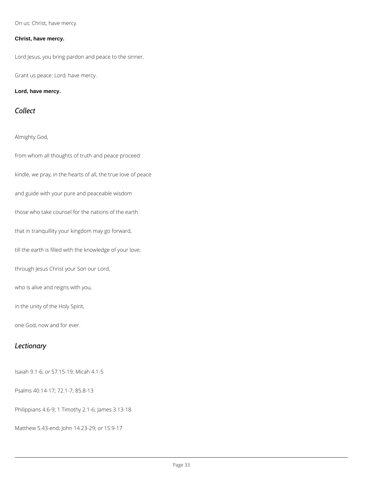On us: Christ, have mercy.

#### **Christ, have mercy.**

Lord Jesus, you bring pardon and peace to the sinner.

Grant us peace: Lord, have mercy.

**Lord, have mercy.**

### *Collect*

Almighty God,

from whom all thoughts of truth and peace proceed:

kindle, we pray, in the hearts of all, the true love of peace

and guide with your pure and peaceable wisdom

those who take counsel for the nations of the earth

that in tranquillity your kingdom may go forward,

till the earth is filled with the knowledge of your love;

through Jesus Christ your Son our Lord,

who is alive and reigns with you,

in the unity of the Holy Spirit,

one God, now and for ever.

### *Lectionary*

Isaiah 9.1-6; *or* 57.15-19; Micah 4.1-5

Psalms 40.14-17; 72.1-7; 85.8-13

Philippians 4.6-9; 1 Timothy 2.1-6; James 3.13-18

Matthew 5.43-end; John 14.23-29; *or* 15.9-17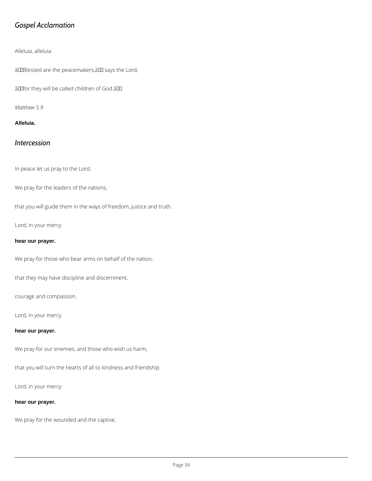### *Gospel Acclamation*

#### Alleluia, alleluia.

âDDBlessed are the peacemakers, âDD says the Lord,

âDDfor they will be called children of God.âDD

*Matthew 5.9*

#### **Alleluia.**

### *Intercession*

In peace let us pray to the Lord.

We pray for the leaders of the nations,

that you will guide them in the ways of freedom, justice and truth.

Lord, in your mercy

#### **hear our prayer.**

We pray for those who bear arms on behalf of the nation,

that they may have discipline and discernment,

courage and compassion.

Lord, in your mercy

#### **hear our prayer.**

We pray for our enemies, and those who wish us harm,

that you will turn the hearts of all to kindness and friendship.

Lord, in your mercy

**hear our prayer.**

We pray for the wounded and the captive,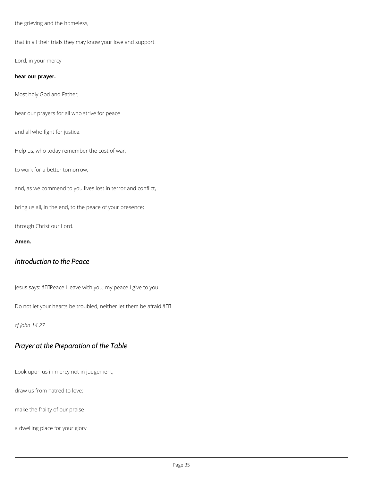the grieving and the homeless,

that in all their trials they may know your love and support.

Lord, in your mercy

**hear our prayer.**

Most holy God and Father,

hear our prayers for all who strive for peace

and all who fight for justice.

Help us, who today remember the cost of war,

to work for a better tomorrow;

and, as we commend to you lives lost in terror and conflict,

bring us all, in the end, to the peace of your presence;

through Christ our Lord.

**Amen.**

### *Introduction to the Peace*

Jesus says: âDDPeace I leave with you; my peace I give to you.

Do not let your hearts be troubled, neither let them be afraid.â

#### *cf John 14.27*

### *Prayer at the Preparation of the Table*

Look upon us in mercy not in judgement;

draw us from hatred to love;

make the frailty of our praise

a dwelling place for your glory.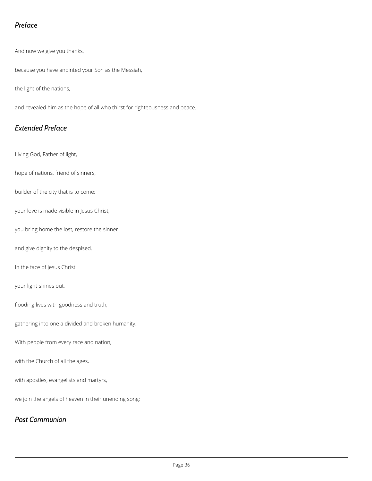### *Preface*

And now we give you thanks,

because you have anointed your Son as the Messiah,

the light of the nations,

and revealed him as the hope of all who thirst for righteousness and peace.

### *Extended Preface*

Living God, Father of light,

hope of nations, friend of sinners,

builder of the city that is to come:

your love is made visible in Jesus Christ,

you bring home the lost, restore the sinner

and give dignity to the despised.

In the face of Jesus Christ

your light shines out,

flooding lives with goodness and truth,

gathering into one a divided and broken humanity.

With people from every race and nation,

with apostles, evangelists and martyrs,

we join the angels of heaven in their unending song:

### *Post Communion*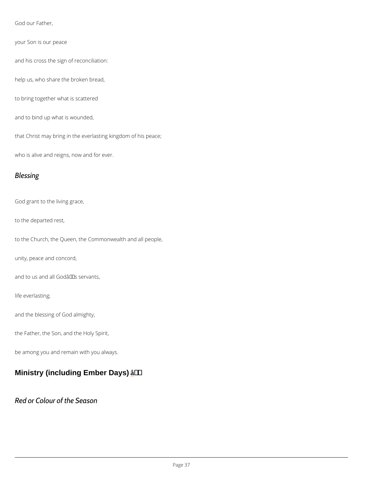God our Father,

your Son is our peace

and his cross the sign of reconciliation:

help us, who share the broken bread,

to bring together what is scattered

and to bind up what is wounded,

that Christ may bring in the everlasting kingdom of his peace;

who is alive and reigns, now and for ever.

### Blessing

God grant to the living grace,

to the departed rest,

to the Church, the Queen, the Commonwealth and all people,

unity, peace and concord,

and to us and all Godâ $\in$ <sup>TM</sup>s servants,

life everlasting;

and the blessing of God almighty,

the Father, the Son, and the Holy Spirit,

be among you and remain with you always.

Ministry (including Ember Days)  $a + 4$ 

### Red or Colour of the Season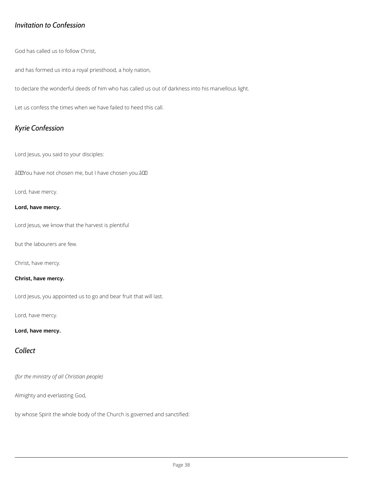### *Invitation to Confession*

God has called us to follow Christ,

and has formed us into a royal priesthood, a holy nation,

to declare the wonderful deeds of him who has called us out of darkness into his marvellous light.

Let us confess the times when we have failed to heed this call.

### *Kyrie Confession*

Lord Jesus, you said to your disciples:

âDDYou have not chosen me, but I have chosen you.âDD

Lord, have mercy.

#### **Lord, have mercy.**

Lord Jesus, we know that the harvest is plentiful

but the labourers are few.

Christ, have mercy.

#### **Christ, have mercy.**

Lord Jesus, you appointed us to go and bear fruit that will last.

Lord, have mercy.

#### **Lord, have mercy.**

### *Collect*

*(for the ministry of all Christian people)*

Almighty and everlasting God,

by whose Spirit the whole body of the Church is governed and sanctified: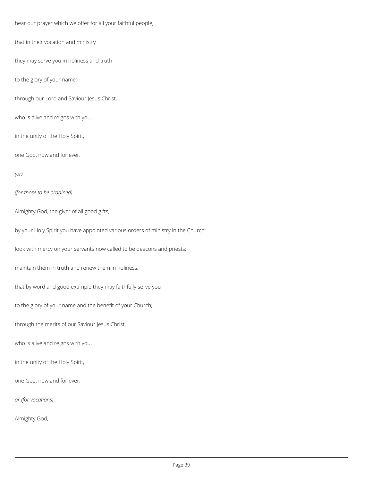hear our prayer which we offer for all your faithful people,

that in their vocation and ministry

they may serve you in holiness and truth

to the glory of your name;

through our Lord and Saviour Jesus Christ,

who is alive and reigns with you,

in the unity of the Holy Spirit,

one God, now and for ever.

*(or)*

*(for those to be ordained)*

Almighty God, the giver of all good gifts,

by your Holy Spirit you have appointed various orders of ministry in the Church:

look with mercy on your servants now called to be deacons and priests;

maintain them in truth and renew them in holiness,

that by word and good example they may faithfully serve you

to the glory of your name and the benefit of your Church;

through the merits of our Saviour Jesus Christ,

who is alive and reigns with you,

in the unity of the Holy Spirit,

one God, now and for ever.

*or (for vocations)*

Almighty God,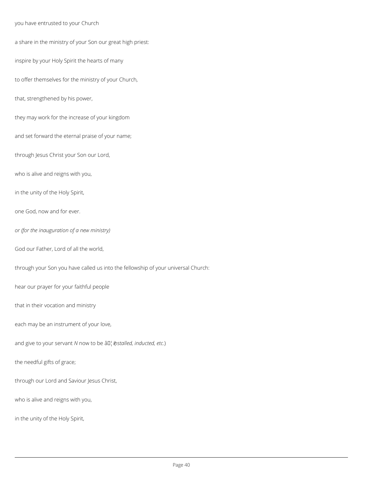#### you have entrusted to your Church

a share in the ministry of your Son our great high priest:

inspire by your Holy Spirit the hearts of many

to offer themselves for the ministry of your Church,

that, strengthened by his power,

they may work for the increase of your kingdom

and set forward the eternal praise of your name;

through Jesus Christ your Son our Lord,

who is alive and reigns with you,

in the unity of the Holy Spirit,

one God, now and for ever.

*or (for the inauguration of a new ministry)*

God our Father, Lord of all the world,

through your Son you have called us into the fellowship of your universal Church:

hear our prayer for your faithful people

that in their vocation and ministry

each may be an instrument of your love,

and give to your servant *N* now to be  $\frac{\partial \Pi}{\partial t}$ *installed, inducted, etc.*)

the needful gifts of grace;

through our Lord and Saviour Jesus Christ,

who is alive and reigns with you,

in the unity of the Holy Spirit,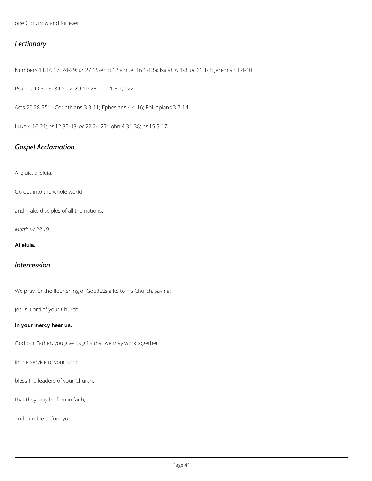one God, now and for ever.

### *Lectionary*

Numbers 11.16,17, 24-29; *or* 27.15-end; 1 Samuel 16.1-13a; Isaiah 6.1-8; *or* 61.1-3; Jeremiah 1.4-10

Psalms 40.8-13; 84.8-12; 89.19-25; 101.1-5,7; 122

Acts 20.28-35; 1 Corinthians 3.3-11; Ephesians 4.4-16; Philippians 3.7-14

Luke 4.16-21; *or* 12.35-43; *or* 22.24-27; John 4.31-38; *or* 15.5-17

### *Gospel Acclamation*

Alleluia, alleluia.

Go out into the whole world

and make disciples of all the nations.

*Matthew 28.19*

#### **Alleluia.**

### *Intercession*

We pray for the flourishing of Godâlls gifts to his Church, saying:

Jesus, Lord of your Church,

#### **in your mercy hear us.**

God our Father, you give us gifts that we may work together

in the service of your Son:

bless the leaders of your Church,

that they may be firm in faith,

and humble before you.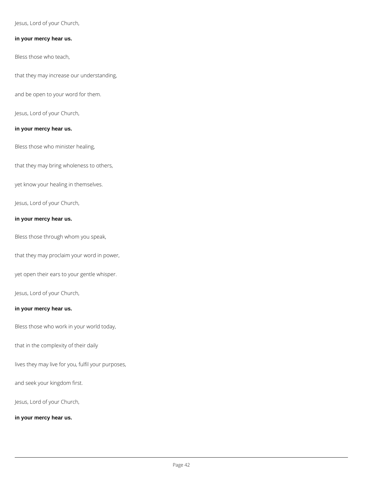Jesus, Lord of your Church,

#### **in your mercy hear us.**

Bless those who teach,

that they may increase our understanding,

and be open to your word for them.

Jesus, Lord of your Church,

#### **in your mercy hear us.**

Bless those who minister healing,

that they may bring wholeness to others,

yet know your healing in themselves.

Jesus, Lord of your Church,

#### **in your mercy hear us.**

Bless those through whom you speak,

that they may proclaim your word in power,

yet open their ears to your gentle whisper.

Jesus, Lord of your Church,

#### **in your mercy hear us.**

Bless those who work in your world today,

that in the complexity of their daily

lives they may live for you, fulfil your purposes,

and seek your kingdom first.

Jesus, Lord of your Church,

**in your mercy hear us.**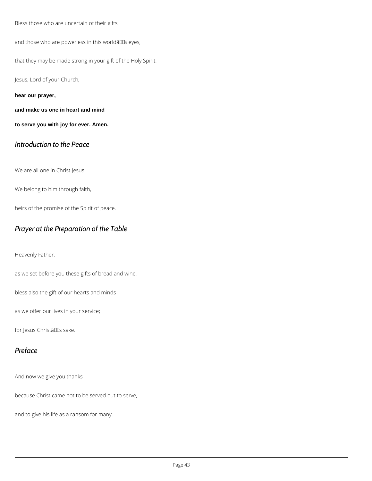Bless those who are uncertain of their gifts

and those who are powerless in this worldâlls eyes,

that they may be made strong in your gift of the Holy Spirit.

Jesus, Lord of your Church,

**hear our prayer,**

**and make us one in heart and mind**

**to serve you with joy for ever. Amen.**

### *Introduction to the Peace*

We are all one in Christ Jesus.

We belong to him through faith,

heirs of the promise of the Spirit of peace.

### *Prayer at the Preparation of the Table*

Heavenly Father,

as we set before you these gifts of bread and wine,

bless also the gift of our hearts and minds

as we offer our lives in your service;

for Jesus Christâllas sake.

### *Preface*

And now we give you thanks

because Christ came not to be served but to serve,

and to give his life as a ransom for many.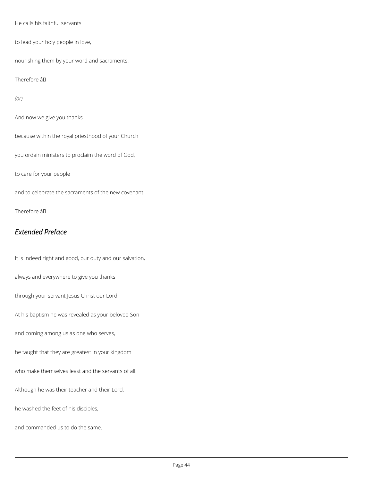He calls his faithful servants

to lead your holy people in love,

nourishing them by your word and sacraments.

Therefore âD¦

*(or)*

And now we give you thanks

because within the royal priesthood of your Church

you ordain ministers to proclaim the word of God,

to care for your people

and to celebrate the sacraments of the new covenant.

Therefore âD¦

### *Extended Preface*

It is indeed right and good, our duty and our salvation,

always and everywhere to give you thanks

through your servant Jesus Christ our Lord.

At his baptism he was revealed as your beloved Son

and coming among us as one who serves,

he taught that they are greatest in your kingdom

who make themselves least and the servants of all.

Although he was their teacher and their Lord,

he washed the feet of his disciples,

and commanded us to do the same.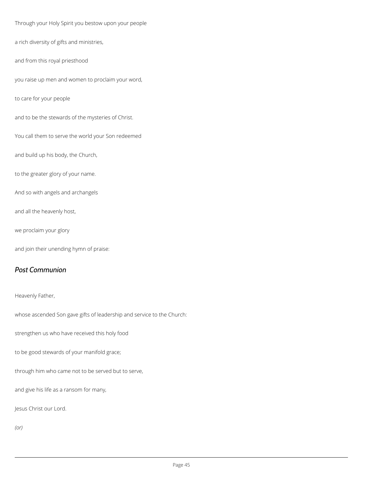Through your Holy Spirit you bestow upon your people

a rich diversity of gifts and ministries,

and from this royal priesthood

you raise up men and women to proclaim your word,

to care for your people

and to be the stewards of the mysteries of Christ.

You call them to serve the world your Son redeemed

and build up his body, the Church,

to the greater glory of your name.

And so with angels and archangels

and all the heavenly host,

we proclaim your glory

and join their unending hymn of praise:

### *Post Communion*

Heavenly Father,

whose ascended Son gave gifts of leadership and service to the Church:

strengthen us who have received this holy food

to be good stewards of your manifold grace;

through him who came not to be served but to serve,

and give his life as a ransom for many,

Jesus Christ our Lord.

*(or)*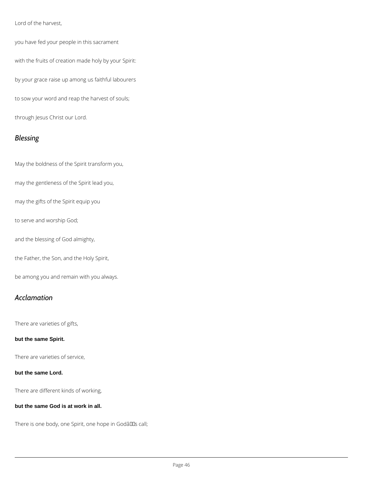Lord of the harvest,

you have fed your people in this sacrament

with the fruits of creation made holy by your Spirit:

by your grace raise up among us faithful labourers

to sow your word and reap the harvest of souls;

through Jesus Christ our Lord.

### *Blessing*

May the boldness of the Spirit transform you,

may the gentleness of the Spirit lead you,

may the gifts of the Spirit equip you

to serve and worship God;

and the blessing of God almighty,

the Father, the Son, and the Holy Spirit,

be among you and remain with you always.

### *Acclamation*

There are varieties of gifts,

**but the same Spirit.**

There are varieties of service,

#### **but the same Lord.**

There are different kinds of working,

#### **but the same God is at work in all.**

There is one body, one Spirit, one hope in Godâlls call;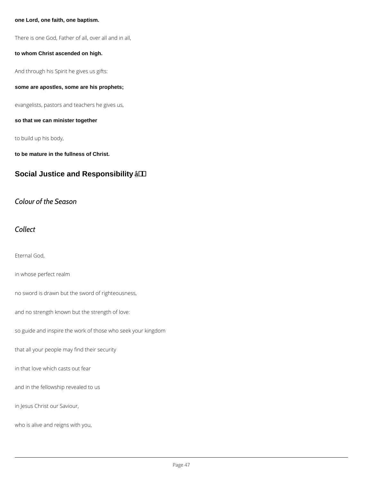one Lord, one faith, one baptism.

There is one God, Father of all, over all and in all,

to whom Christ ascended on high.

And through his Spirit he gives us gifts:

some are apostles, some are his prophets;

evangelists, pastors and teachers he gives us,

so that we can minister together

to build up his body,

to be mature in the fullness of Christ.

Social Justice and Responsibility \_\_ a + '

Colour of the Season

Collect

Eternal God,

in whose perfect realm

no sword is drawn but the sword of righteousness,

and no strength known but the strength of love:

so guide and inspire the work of those who seek your kingdom

that all your people may find their security

in that love which casts out fear

and in the fellowship revealed to us

in Jesus Christ our Saviour,

who is alive and reigns with you,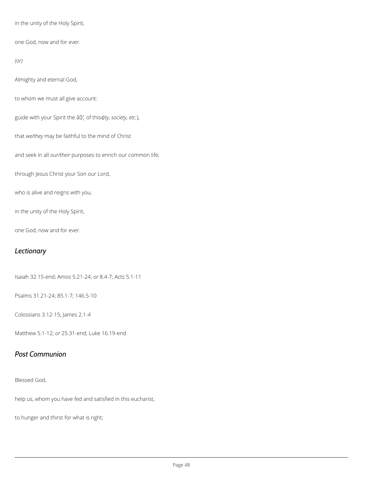in the unity of the Holy Spirit,

one God, now and for ever.

*(or)*

Almighty and eternal God,

to whom we must all give account:

guide with your Spirit the  $\hat{a} \Pi_1^1$  of this *(ity, society, etc.)*,

that *we/they* may be faithful to the mind of Christ

and seek in all *our/their* purposes to enrich our common life;

through Jesus Christ your Son our Lord,

who is alive and reigns with you,

in the unity of the Holy Spirit,

one God, now and for ever.

### *Lectionary*

Isaiah 32.15-end; Amos 5.21-24; *or* 8.4-7; Acts 5.1-11

Psalms 31.21-24; 85.1-7; 146.5-10

Colossians 3.12-15; James 2.1-4

Matthew 5.1-12; *or* 25.31-end; Luke 16.19-end

#### *Post Communion*

help us, whom you have fed and satisfied in this eucharist,

to hunger and thirst for what is right;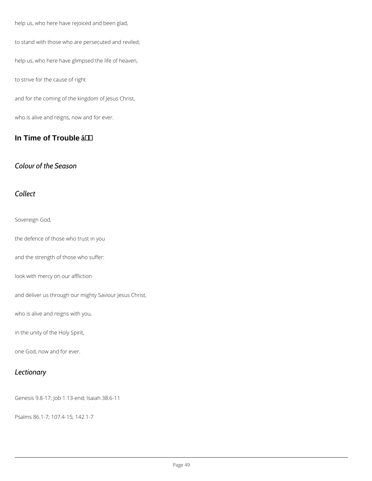help us, who here have rejoiced and been glad,

to stand with those who are persecuted and reviled;

help us, who here have glimpsed the life of heaven,

to strive for the cause of right

and for the coming of the kingdom of Jesus Christ,

who is alive and reigns, now and for ever.

In Time of Trouble  $a + 4$ 

Colour of the Season

Collect

Sovereign God,

the defence of those who trust in you

and the strength of those who suffer:

look with mercy on our affliction

and deliver us through our mighty Saviour Jesus Christ,

who is alive and reigns with you,

in the unity of the Holy Spirit,

one God, now and for ever.



Genesis 9.8-17; Job 1.13-end; Isaiah 38.6-11

Psalms 86.1-7; 107.4-15; 142.1-7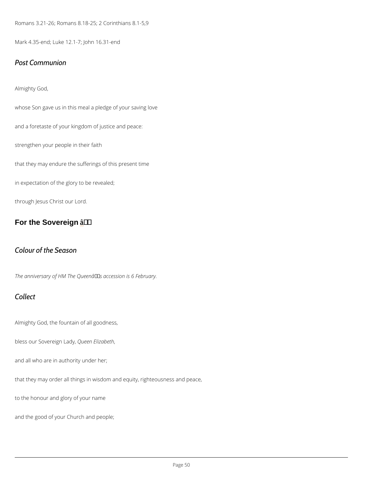Romans 3.21-26; Romans 8.18-25; 2 Corinthians 8.1-5,9

Mark 4.35-end; Luke 12.1-7; John 16.31-end

#### Post Communion

Almighty God,

whose Son gave us in this meal a pledge of your saving love

and a foretaste of your kingdom of justice and peace:

strengthen your people in their faith

that they may endure the sufferings of this present time

in expectation of the glory to be revealed;

through Jesus Christ our Lord.

For the Sovereign  $a + 4$ 

Colour of the Season

The anniversary of HM The Queen $\hat{a} \in \text{Im } s$  accession is 6 February.

### Collect

Almighty God, the fountain of all goodness,

bless our SovereQueed madEylizabeth

and all who are in authority under her;

that they may order all things in wisdom and equity, righteousness and peace,

to the honour and glory of your name

and the good of your Church and people;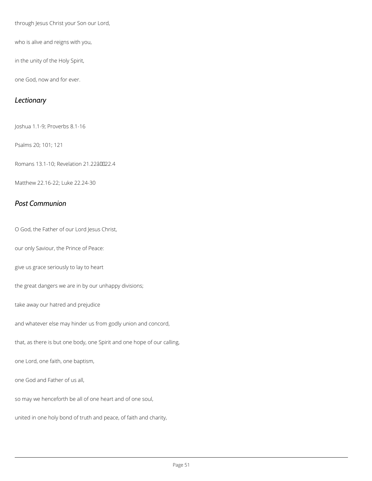through Jesus Christ your Son our Lord,

who is alive and reigns with you,

in the unity of the Holy Spirit,

one God, now and for ever.

### *Lectionary*

Joshua 1.1-9; Proverbs 8.1-16

Psalms 20; 101; 121

Romans 13.1-10; Revelation 21.22â0022.4

Matthew 22.16-22; Luke 22.24-30

### *Post Communion*

O God, the Father of our Lord Jesus Christ,

our only Saviour, the Prince of Peace:

give us grace seriously to lay to heart

the great dangers we are in by our unhappy divisions;

take away our hatred and prejudice

and whatever else may hinder us from godly union and concord,

that, as there is but one body, one Spirit and one hope of our calling,

one Lord, one faith, one baptism,

one God and Father of us all,

so may we henceforth be all of one heart and of one soul,

united in one holy bond of truth and peace, of faith and charity,